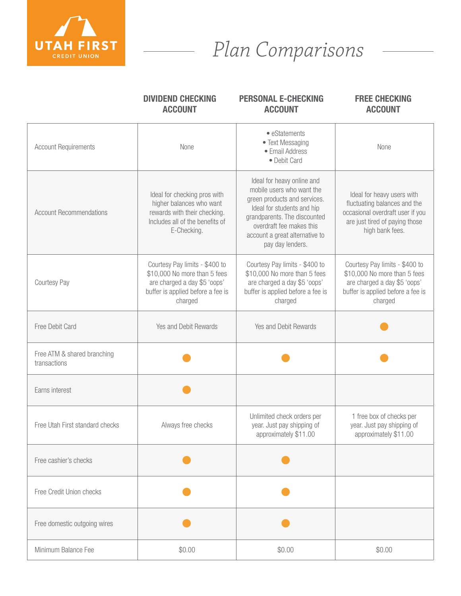

## *Plan Comparisons*

|                                             | <b>DIVIDEND CHECKING</b><br><b>ACCOUNT</b>                                                                                                     | <b>PERSONAL E-CHECKING</b><br><b>ACCOUNT</b>                                                                                                                                                                                            | <b>FREE CHECKING</b><br><b>ACCOUNT</b>                                                                                                              |
|---------------------------------------------|------------------------------------------------------------------------------------------------------------------------------------------------|-----------------------------------------------------------------------------------------------------------------------------------------------------------------------------------------------------------------------------------------|-----------------------------------------------------------------------------------------------------------------------------------------------------|
| <b>Account Requirements</b>                 | None                                                                                                                                           | • eStatements<br>• Text Messaging<br>• Email Address<br>• Debit Card                                                                                                                                                                    | None                                                                                                                                                |
| <b>Account Recommendations</b>              | Ideal for checking pros with<br>higher balances who want<br>rewards with their checking.<br>Includes all of the benefits of<br>E-Checking.     | Ideal for heavy online and<br>mobile users who want the<br>green products and services.<br>Ideal for students and hip<br>grandparents. The discounted<br>overdraft fee makes this<br>account a great alternative to<br>pay day lenders. | Ideal for heavy users with<br>fluctuating balances and the<br>occasional overdraft user if you<br>are just tired of paying those<br>high bank fees. |
| Courtesy Pay                                | Courtesy Pay limits - \$400 to<br>\$10,000 No more than 5 fees<br>are charged a day \$5 'oops'<br>buffer is applied before a fee is<br>charged | Courtesy Pay limits - \$400 to<br>\$10,000 No more than 5 fees<br>are charged a day \$5 'oops'<br>buffer is applied before a fee is<br>charged                                                                                          | Courtesy Pay limits - \$400 to<br>\$10,000 No more than 5 fees<br>are charged a day \$5 'oops'<br>buffer is applied before a fee is<br>charged      |
| Free Debit Card                             | Yes and Debit Rewards                                                                                                                          | Yes and Debit Rewards                                                                                                                                                                                                                   |                                                                                                                                                     |
| Free ATM & shared branching<br>transactions |                                                                                                                                                |                                                                                                                                                                                                                                         |                                                                                                                                                     |
| Earns interest                              |                                                                                                                                                |                                                                                                                                                                                                                                         |                                                                                                                                                     |
| Free Utah First standard checks             | Always free checks                                                                                                                             | Unlimited check orders per<br>year. Just pay shipping of<br>approximately \$11.00                                                                                                                                                       | 1 free box of checks per<br>year. Just pay shipping of<br>approximately \$11.00                                                                     |
| Free cashier's checks                       |                                                                                                                                                |                                                                                                                                                                                                                                         |                                                                                                                                                     |
| Free Credit Union checks                    |                                                                                                                                                |                                                                                                                                                                                                                                         |                                                                                                                                                     |
| Free domestic outgoing wires                |                                                                                                                                                |                                                                                                                                                                                                                                         |                                                                                                                                                     |
| Minimum Balance Fee                         | \$0.00                                                                                                                                         | \$0.00                                                                                                                                                                                                                                  | \$0.00                                                                                                                                              |